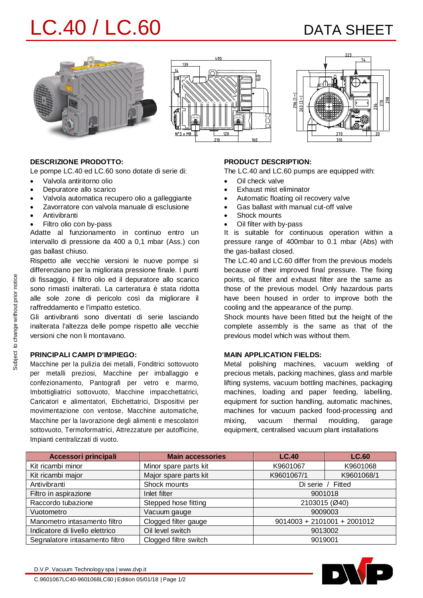# LC.40 / LC.60 DATA SHEET







#### **DESCRIZIONE PRODOTTO:**

Le pompe LC.40 ed LC.60 sono dotate di serie di:

- · Valvola antiritorno olio
- Depuratore allo scarico
- · Valvola automatica recupero olio a galleggiante
- Zavorratore con valvola manuale di esclusione
- **Antivibranti**
- Filtro olio con by-pass

Adatte al funzionamento in continuo entro un intervallo di pressione da 400 a 0,1 mbar (Ass.) con gas ballast chiuso.

Rispetto alle vecchie versioni le nuove pompe si differenziano per la migliorata pressione finale. I punti di fissaggio, il filtro olio ed il depuratore allo scarico sono rimasti inalterati. La carteratura è stata ridotta alle sole zone di pericolo così da migliorare il raffreddamento e l'impatto estetico.

Gli antivibranti sono diventati di serie lasciando inalterata l'altezza delle pompe rispetto alle vecchie versioni che non li montavano.

### **PRINCIPALI CAMPI D'IMPIEGO:**

Macchine per la pulizia dei metalli, Fonditrici sottovuoto per metalli preziosi, Macchine per imballaggio e confezionamento, Pantografi per vetro e marmo, Imbottigliatrici sottovuoto, Macchine impacchettatrici, Caricatori e alimentatori, Etichettatrici, Dispositivi per movimentazione con ventose, Macchine automatiche, Macchine per la lavorazione degli alimenti e mescolatori sottovuoto, Termoformatrici, Attrezzature per autofficine, Impianti centralizzati di vuoto.

### **PRODUCT DESCRIPTION:**

The LC.40 and LC.60 pumps are equipped with:

- · Oil check valve
- Exhaust mist eliminator
- Automatic floating oil recovery valve
- Gas ballast with manual cut-off valve
- Shock mounts
- Oil filter with by-pass

It is suitable for continuous operation within a pressure range of 400mbar to 0.1 mbar (Abs) with the gas-ballast closed.

The LC.40 and LC.60 differ from the previous models because of their improved final pressure. The fixing points, oil filter and exhaust filter are the same as those of the previous model. Only hazardous parts have been housed in order to improve both the cooling and the appearance of the pump.

Shock mounts have been fitted but the height of the complete assembly is the same as that of the previous model which was without them.

#### **MAIN APPLICATION FIELDS:**

Metal polishing machines, vacuum welding of precious metals, packing machines, glass and marble lifting systems, vacuum bottling machines, packaging machines, loading and paper feeding, labelling, equipment for suction handling, automatic machines, machines for vacuum packed food-processing and mixing, vacuum thermal moulding, garage equipment, centralised vacuum plant installations

| Accessori principali            | <b>Main accessories</b> | LC.40                         | <b>LC.60</b> |  |  |
|---------------------------------|-------------------------|-------------------------------|--------------|--|--|
| Kit ricambi minor               | Minor spare parts kit   | K9601067                      | K9601068     |  |  |
| Kit ricambi major               | Major spare parts kit   | K9601067/1                    | K9601068/1   |  |  |
| Antivibranti                    | Shock mounts            | Di serie / Fitted             |              |  |  |
| Filtro in aspirazione           | Inlet filter            | 9001018                       |              |  |  |
| Raccordo tubazione              | Stepped hose fitting    | 2103015 (Ø40)                 |              |  |  |
| Vuotometro                      | Vacuum gauge            | 9009003                       |              |  |  |
| Manometro intasamento filtro    | Clogged filter gauge    | $9014003 + 2101001 + 2001012$ |              |  |  |
| Indicatore di livello elettrico | Oil level switch        | 9013002                       |              |  |  |
| Segnalatore intasamento filtro  | Clogged filtre switch   | 9019001                       |              |  |  |